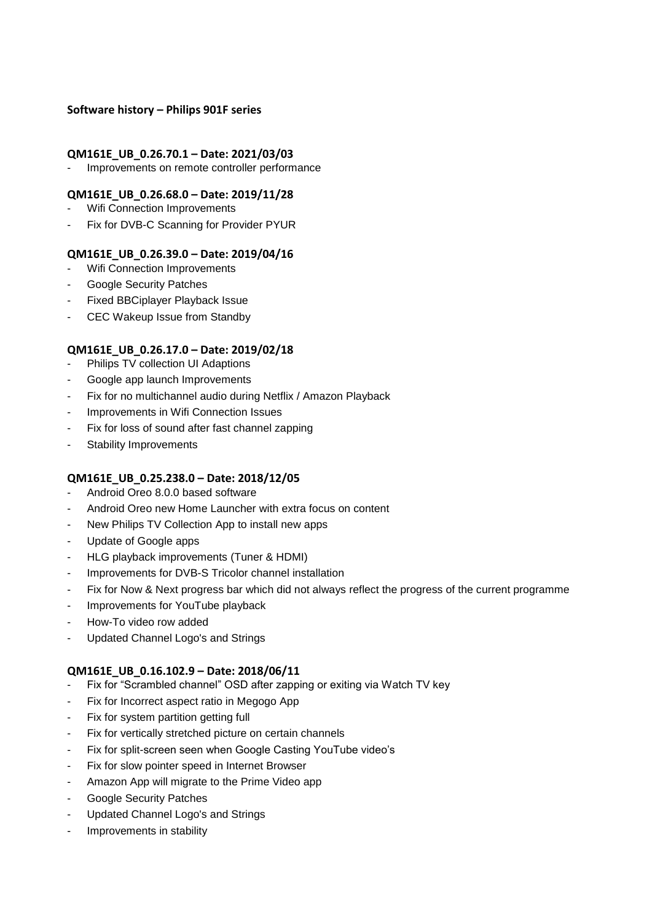#### **Software history – Philips 901F series**

#### **QM161E\_UB\_0.26.70.1 – Date: 2021/03/03**

Improvements on remote controller performance

#### **QM161E\_UB\_0.26.68.0 – Date: 2019/11/28**

- Wifi Connection Improvements
- Fix for DVB-C Scanning for Provider PYUR

#### **QM161E\_UB\_0.26.39.0 – Date: 2019/04/16**

- Wifi Connection Improvements
- Google Security Patches
- Fixed BBCiplayer Playback Issue
- CEC Wakeup Issue from Standby

#### **QM161E\_UB\_0.26.17.0 – Date: 2019/02/18**

- Philips TV collection UI Adaptions
- Google app launch Improvements
- Fix for no multichannel audio during Netflix / Amazon Playback
- Improvements in Wifi Connection Issues
- Fix for loss of sound after fast channel zapping
- Stability Improvements

#### **QM161E\_UB\_0.25.238.0 – Date: 2018/12/05**

- Android Oreo 8.0.0 based software
- Android Oreo new Home Launcher with extra focus on content
- New Philips TV Collection App to install new apps
- Update of Google apps
- HLG playback improvements (Tuner & HDMI)
- Improvements for DVB-S Tricolor channel installation
- Fix for Now & Next progress bar which did not always reflect the progress of the current programme
- Improvements for YouTube playback
- How-To video row added
- Updated Channel Logo's and Strings

#### **QM161E\_UB\_0.16.102.9 – Date: 2018/06/11**

- Fix for "Scrambled channel" OSD after zapping or exiting via Watch TV key
- Fix for Incorrect aspect ratio in Megogo App
- Fix for system partition getting full
- Fix for vertically stretched picture on certain channels
- Fix for split-screen seen when Google Casting YouTube video's
- Fix for slow pointer speed in Internet Browser
- Amazon App will migrate to the Prime Video app
- Google Security Patches
- Updated Channel Logo's and Strings
- Improvements in stability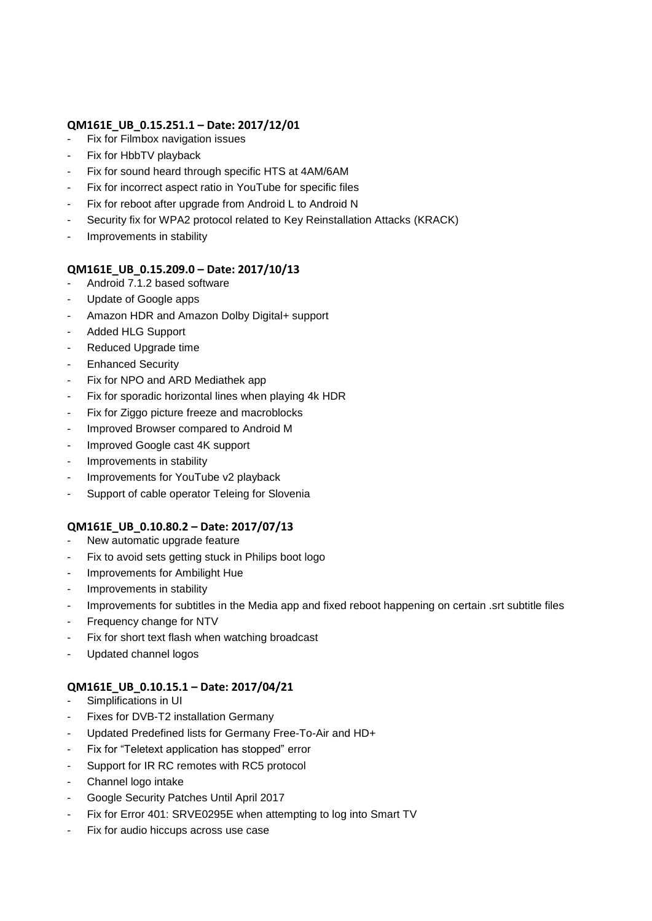# **QM161E\_UB\_0.15.251.1 – Date: 2017/12/01**

- Fix for Filmbox navigation issues
- Fix for HbbTV playback
- Fix for sound heard through specific HTS at 4AM/6AM
- Fix for incorrect aspect ratio in YouTube for specific files
- Fix for reboot after upgrade from Android L to Android N
- Security fix for WPA2 protocol related to Key Reinstallation Attacks (KRACK)
- Improvements in stability

# **QM161E\_UB\_0.15.209.0 – Date: 2017/10/13**

- Android 7.1.2 based software
- Update of Google apps
- Amazon HDR and Amazon Dolby Digital+ support
- Added HLG Support
- Reduced Upgrade time
- Enhanced Security
- Fix for NPO and ARD Mediathek app
- Fix for sporadic horizontal lines when playing 4k HDR
- Fix for Ziggo picture freeze and macroblocks
- Improved Browser compared to Android M
- Improved Google cast 4K support
- Improvements in stability
- Improvements for YouTube v2 playback
- Support of cable operator Teleing for Slovenia

# **QM161E\_UB\_0.10.80.2 – Date: 2017/07/13**

- New automatic upgrade feature
- Fix to avoid sets getting stuck in Philips boot logo
- Improvements for Ambilight Hue
- Improvements in stability
- Improvements for subtitles in the Media app and fixed reboot happening on certain .srt subtitle files
- Frequency change for NTV
- Fix for short text flash when watching broadcast
- Updated channel logos

# **QM161E\_UB\_0.10.15.1 – Date: 2017/04/21**

- Simplifications in UI
- Fixes for DVB-T2 installation Germany
- Updated Predefined lists for Germany Free-To-Air and HD+
- Fix for "Teletext application has stopped" error
- Support for IR RC remotes with RC5 protocol
- Channel logo intake
- Google Security Patches Until April 2017
- Fix for Error 401: SRVE0295E when attempting to log into Smart TV
- Fix for audio hiccups across use case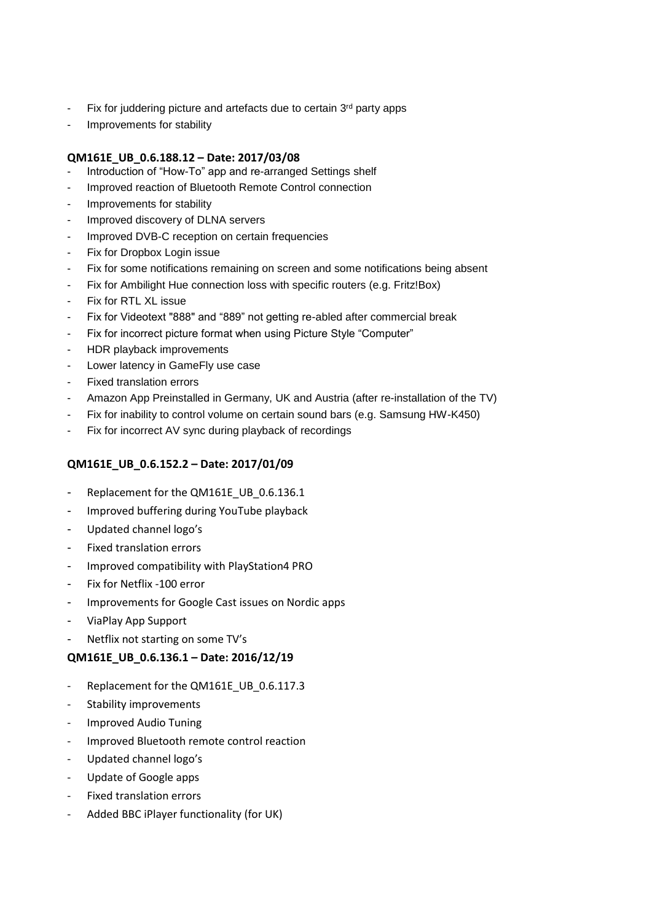- Fix for juddering picture and artefacts due to certain 3rd party apps
- Improvements for stability

# **QM161E\_UB\_0.6.188.12 – Date: 2017/03/08**

- Introduction of "How-To" app and re-arranged Settings shelf
- Improved reaction of Bluetooth Remote Control connection
- Improvements for stability
- Improved discovery of DLNA servers
- Improved DVB-C reception on certain frequencies
- Fix for Dropbox Login issue
- Fix for some notifications remaining on screen and some notifications being absent
- Fix for Ambilight Hue connection loss with specific routers (e.g. Fritz!Box)
- Fix for RTL XL issue
- Fix for Videotext "888" and "889" not getting re-abled after commercial break
- Fix for incorrect picture format when using Picture Style "Computer"
- HDR playback improvements
- Lower latency in GameFly use case
- Fixed translation errors
- Amazon App Preinstalled in Germany, UK and Austria (after re-installation of the TV)
- Fix for inability to control volume on certain sound bars (e.g. Samsung HW-K450)
- Fix for incorrect AV sync during playback of recordings

# **QM161E\_UB\_0.6.152.2 – Date: 2017/01/09**

- Replacement for the QM161E\_UB\_0.6.136.1
- Improved buffering during YouTube playback
- Updated channel logo's
- Fixed translation errors
- Improved compatibility with PlayStation4 PRO
- Fix for Netflix -100 error
- Improvements for Google Cast issues on Nordic apps
- ViaPlay App Support
- Netflix not starting on some TV's

# **QM161E\_UB\_0.6.136.1 – Date: 2016/12/19**

- Replacement for the QM161E\_UB\_0.6.117.3
- Stability improvements
- Improved Audio Tuning
- Improved Bluetooth remote control reaction
- Updated channel logo's
- Update of Google apps
- Fixed translation errors
- Added BBC iPlayer functionality (for UK)